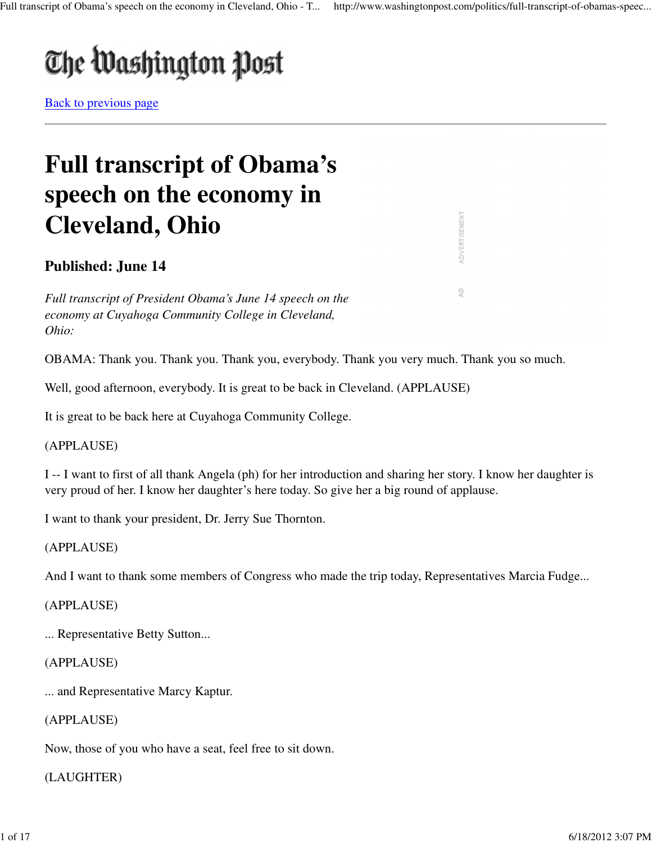ADVERTISEMENT

ą

# The Washington Post

Back to previous page

# **Full transcript of Obama's speech on the economy in Cleveland, Ohio**

# **Published: June 14**

*Full transcript of President Obama's June 14 speech on the economy at Cuyahoga Community College in Cleveland, Ohio:*

OBAMA: Thank you. Thank you. Thank you, everybody. Thank you very much. Thank you so much.

Well, good afternoon, everybody. It is great to be back in Cleveland. (APPLAUSE)

It is great to be back here at Cuyahoga Community College.

(APPLAUSE)

I -- I want to first of all thank Angela (ph) for her introduction and sharing her story. I know her daughter is very proud of her. I know her daughter's here today. So give her a big round of applause.

I want to thank your president, Dr. Jerry Sue Thornton.

#### (APPLAUSE)

And I want to thank some members of Congress who made the trip today, Representatives Marcia Fudge...

(APPLAUSE)

... Representative Betty Sutton...

# (APPLAUSE)

... and Representative Marcy Kaptur.

(APPLAUSE)

Now, those of you who have a seat, feel free to sit down.

(LAUGHTER)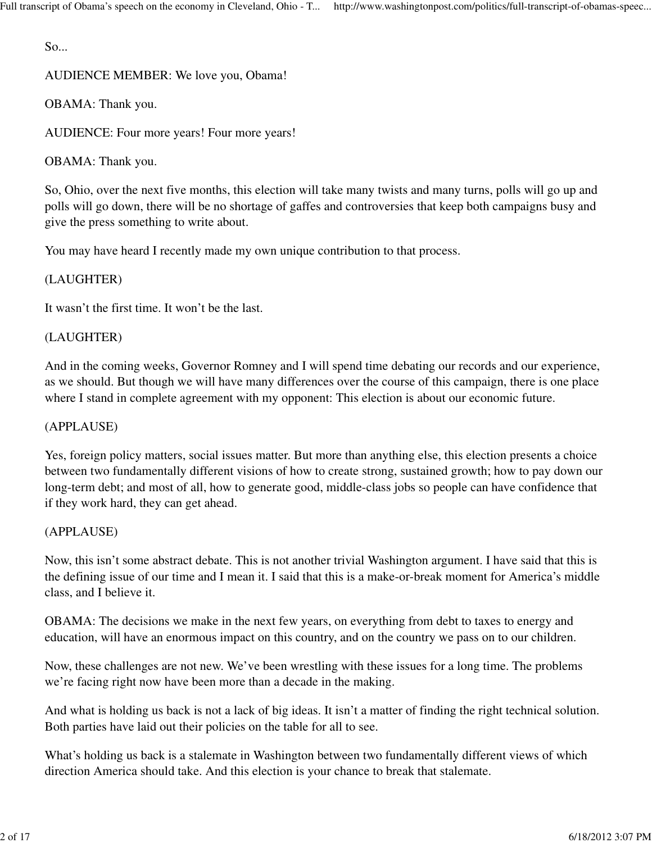So...

AUDIENCE MEMBER: We love you, Obama!

OBAMA: Thank you.

AUDIENCE: Four more years! Four more years!

OBAMA: Thank you.

So, Ohio, over the next five months, this election will take many twists and many turns, polls will go up and polls will go down, there will be no shortage of gaffes and controversies that keep both campaigns busy and give the press something to write about.

You may have heard I recently made my own unique contribution to that process.

#### (LAUGHTER)

It wasn't the first time. It won't be the last.

#### (LAUGHTER)

And in the coming weeks, Governor Romney and I will spend time debating our records and our experience, as we should. But though we will have many differences over the course of this campaign, there is one place where I stand in complete agreement with my opponent: This election is about our economic future.

#### (APPLAUSE)

Yes, foreign policy matters, social issues matter. But more than anything else, this election presents a choice between two fundamentally different visions of how to create strong, sustained growth; how to pay down our long-term debt; and most of all, how to generate good, middle-class jobs so people can have confidence that if they work hard, they can get ahead.

#### (APPLAUSE)

Now, this isn't some abstract debate. This is not another trivial Washington argument. I have said that this is the defining issue of our time and I mean it. I said that this is a make-or-break moment for America's middle class, and I believe it.

OBAMA: The decisions we make in the next few years, on everything from debt to taxes to energy and education, will have an enormous impact on this country, and on the country we pass on to our children.

Now, these challenges are not new. We've been wrestling with these issues for a long time. The problems we're facing right now have been more than a decade in the making.

And what is holding us back is not a lack of big ideas. It isn't a matter of finding the right technical solution. Both parties have laid out their policies on the table for all to see.

What's holding us back is a stalemate in Washington between two fundamentally different views of which direction America should take. And this election is your chance to break that stalemate.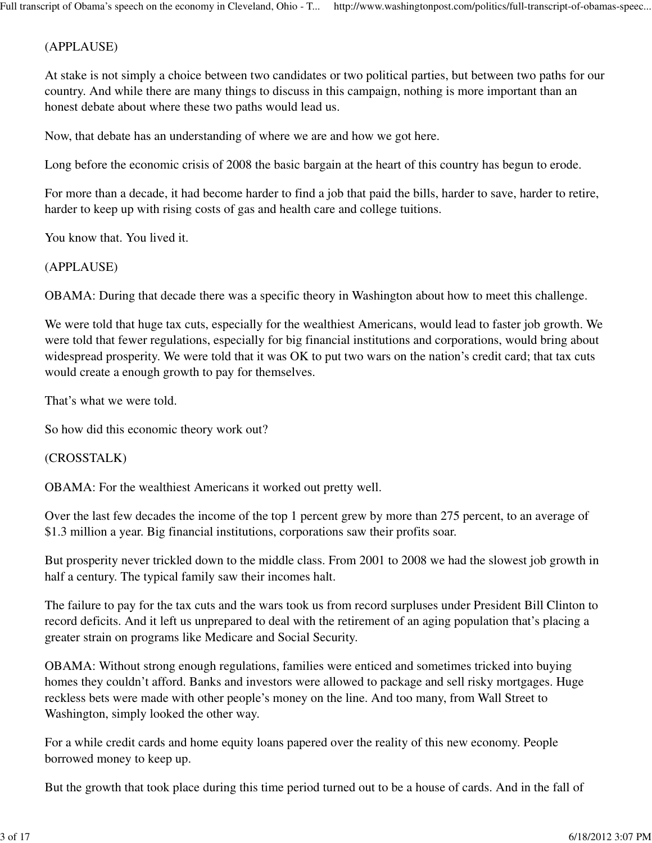#### (APPLAUSE)

At stake is not simply a choice between two candidates or two political parties, but between two paths for our country. And while there are many things to discuss in this campaign, nothing is more important than an honest debate about where these two paths would lead us.

Now, that debate has an understanding of where we are and how we got here.

Long before the economic crisis of 2008 the basic bargain at the heart of this country has begun to erode.

For more than a decade, it had become harder to find a job that paid the bills, harder to save, harder to retire, harder to keep up with rising costs of gas and health care and college tuitions.

You know that. You lived it.

# (APPLAUSE)

OBAMA: During that decade there was a specific theory in Washington about how to meet this challenge.

We were told that huge tax cuts, especially for the wealthiest Americans, would lead to faster job growth. We were told that fewer regulations, especially for big financial institutions and corporations, would bring about widespread prosperity. We were told that it was OK to put two wars on the nation's credit card; that tax cuts would create a enough growth to pay for themselves.

That's what we were told.

So how did this economic theory work out?

#### (CROSSTALK)

OBAMA: For the wealthiest Americans it worked out pretty well.

Over the last few decades the income of the top 1 percent grew by more than 275 percent, to an average of \$1.3 million a year. Big financial institutions, corporations saw their profits soar.

But prosperity never trickled down to the middle class. From 2001 to 2008 we had the slowest job growth in half a century. The typical family saw their incomes halt.

The failure to pay for the tax cuts and the wars took us from record surpluses under President Bill Clinton to record deficits. And it left us unprepared to deal with the retirement of an aging population that's placing a greater strain on programs like Medicare and Social Security.

OBAMA: Without strong enough regulations, families were enticed and sometimes tricked into buying homes they couldn't afford. Banks and investors were allowed to package and sell risky mortgages. Huge reckless bets were made with other people's money on the line. And too many, from Wall Street to Washington, simply looked the other way.

For a while credit cards and home equity loans papered over the reality of this new economy. People borrowed money to keep up.

But the growth that took place during this time period turned out to be a house of cards. And in the fall of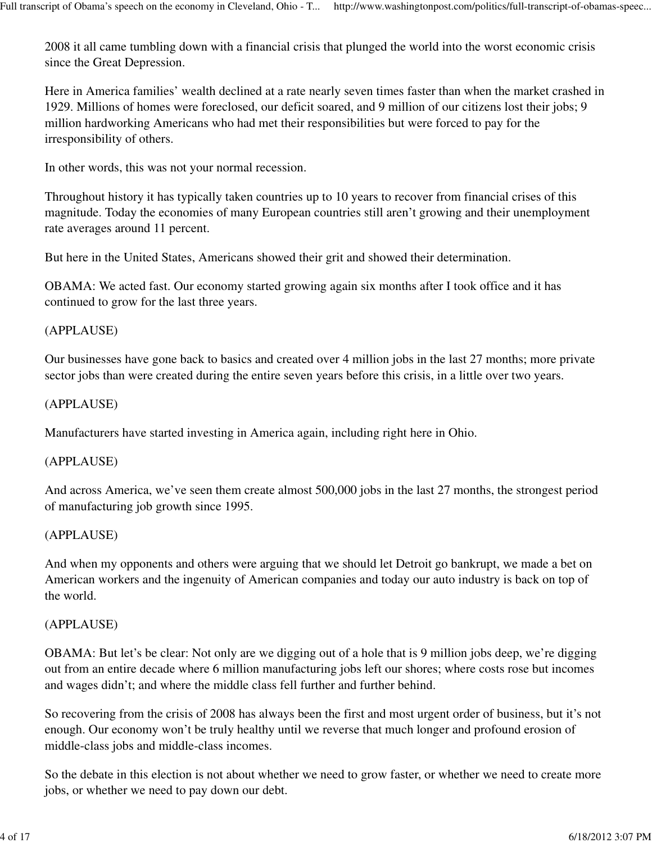2008 it all came tumbling down with a financial crisis that plunged the world into the worst economic crisis since the Great Depression.

Here in America families' wealth declined at a rate nearly seven times faster than when the market crashed in 1929. Millions of homes were foreclosed, our deficit soared, and 9 million of our citizens lost their jobs; 9 million hardworking Americans who had met their responsibilities but were forced to pay for the irresponsibility of others.

In other words, this was not your normal recession.

Throughout history it has typically taken countries up to 10 years to recover from financial crises of this magnitude. Today the economies of many European countries still aren't growing and their unemployment rate averages around 11 percent.

But here in the United States, Americans showed their grit and showed their determination.

OBAMA: We acted fast. Our economy started growing again six months after I took office and it has continued to grow for the last three years.

# (APPLAUSE)

Our businesses have gone back to basics and created over 4 million jobs in the last 27 months; more private sector jobs than were created during the entire seven years before this crisis, in a little over two years.

# (APPLAUSE)

Manufacturers have started investing in America again, including right here in Ohio.

#### (APPLAUSE)

And across America, we've seen them create almost 500,000 jobs in the last 27 months, the strongest period of manufacturing job growth since 1995.

#### (APPLAUSE)

And when my opponents and others were arguing that we should let Detroit go bankrupt, we made a bet on American workers and the ingenuity of American companies and today our auto industry is back on top of the world.

# (APPLAUSE)

OBAMA: But let's be clear: Not only are we digging out of a hole that is 9 million jobs deep, we're digging out from an entire decade where 6 million manufacturing jobs left our shores; where costs rose but incomes and wages didn't; and where the middle class fell further and further behind.

So recovering from the crisis of 2008 has always been the first and most urgent order of business, but it's not enough. Our economy won't be truly healthy until we reverse that much longer and profound erosion of middle-class jobs and middle-class incomes.

So the debate in this election is not about whether we need to grow faster, or whether we need to create more jobs, or whether we need to pay down our debt.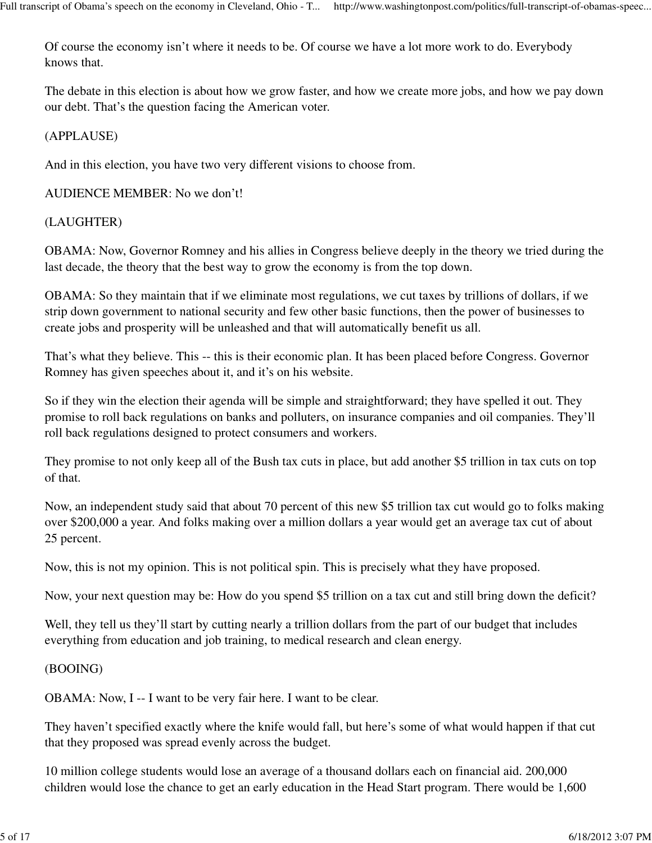Of course the economy isn't where it needs to be. Of course we have a lot more work to do. Everybody knows that.

The debate in this election is about how we grow faster, and how we create more jobs, and how we pay down our debt. That's the question facing the American voter.

# (APPLAUSE)

And in this election, you have two very different visions to choose from.

# AUDIENCE MEMBER: No we don't!

# (LAUGHTER)

OBAMA: Now, Governor Romney and his allies in Congress believe deeply in the theory we tried during the last decade, the theory that the best way to grow the economy is from the top down.

OBAMA: So they maintain that if we eliminate most regulations, we cut taxes by trillions of dollars, if we strip down government to national security and few other basic functions, then the power of businesses to create jobs and prosperity will be unleashed and that will automatically benefit us all.

That's what they believe. This -- this is their economic plan. It has been placed before Congress. Governor Romney has given speeches about it, and it's on his website.

So if they win the election their agenda will be simple and straightforward; they have spelled it out. They promise to roll back regulations on banks and polluters, on insurance companies and oil companies. They'll roll back regulations designed to protect consumers and workers.

They promise to not only keep all of the Bush tax cuts in place, but add another \$5 trillion in tax cuts on top of that.

Now, an independent study said that about 70 percent of this new \$5 trillion tax cut would go to folks making over \$200,000 a year. And folks making over a million dollars a year would get an average tax cut of about 25 percent.

Now, this is not my opinion. This is not political spin. This is precisely what they have proposed.

Now, your next question may be: How do you spend \$5 trillion on a tax cut and still bring down the deficit?

Well, they tell us they'll start by cutting nearly a trillion dollars from the part of our budget that includes everything from education and job training, to medical research and clean energy.

# (BOOING)

OBAMA: Now, I -- I want to be very fair here. I want to be clear.

They haven't specified exactly where the knife would fall, but here's some of what would happen if that cut that they proposed was spread evenly across the budget.

10 million college students would lose an average of a thousand dollars each on financial aid. 200,000 children would lose the chance to get an early education in the Head Start program. There would be 1,600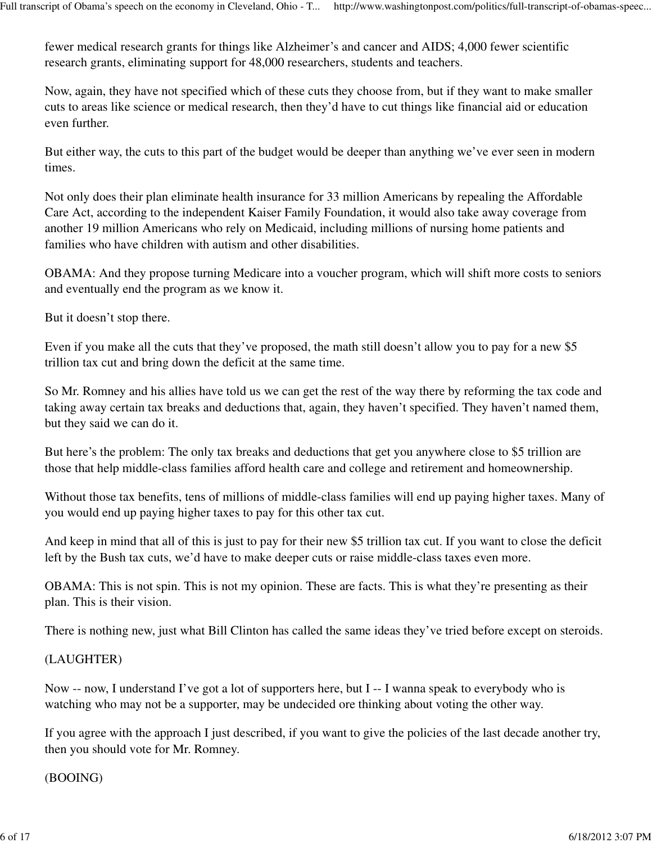fewer medical research grants for things like Alzheimer's and cancer and AIDS; 4,000 fewer scientific research grants, eliminating support for 48,000 researchers, students and teachers.

Now, again, they have not specified which of these cuts they choose from, but if they want to make smaller cuts to areas like science or medical research, then they'd have to cut things like financial aid or education even further.

But either way, the cuts to this part of the budget would be deeper than anything we've ever seen in modern times.

Not only does their plan eliminate health insurance for 33 million Americans by repealing the Affordable Care Act, according to the independent Kaiser Family Foundation, it would also take away coverage from another 19 million Americans who rely on Medicaid, including millions of nursing home patients and families who have children with autism and other disabilities.

OBAMA: And they propose turning Medicare into a voucher program, which will shift more costs to seniors and eventually end the program as we know it.

But it doesn't stop there.

Even if you make all the cuts that they've proposed, the math still doesn't allow you to pay for a new \$5 trillion tax cut and bring down the deficit at the same time.

So Mr. Romney and his allies have told us we can get the rest of the way there by reforming the tax code and taking away certain tax breaks and deductions that, again, they haven't specified. They haven't named them, but they said we can do it.

But here's the problem: The only tax breaks and deductions that get you anywhere close to \$5 trillion are those that help middle-class families afford health care and college and retirement and homeownership.

Without those tax benefits, tens of millions of middle-class families will end up paying higher taxes. Many of you would end up paying higher taxes to pay for this other tax cut.

And keep in mind that all of this is just to pay for their new \$5 trillion tax cut. If you want to close the deficit left by the Bush tax cuts, we'd have to make deeper cuts or raise middle-class taxes even more.

OBAMA: This is not spin. This is not my opinion. These are facts. This is what they're presenting as their plan. This is their vision.

There is nothing new, just what Bill Clinton has called the same ideas they've tried before except on steroids.

# (LAUGHTER)

Now -- now, I understand I've got a lot of supporters here, but I -- I wanna speak to everybody who is watching who may not be a supporter, may be undecided ore thinking about voting the other way.

If you agree with the approach I just described, if you want to give the policies of the last decade another try, then you should vote for Mr. Romney.

(BOOING)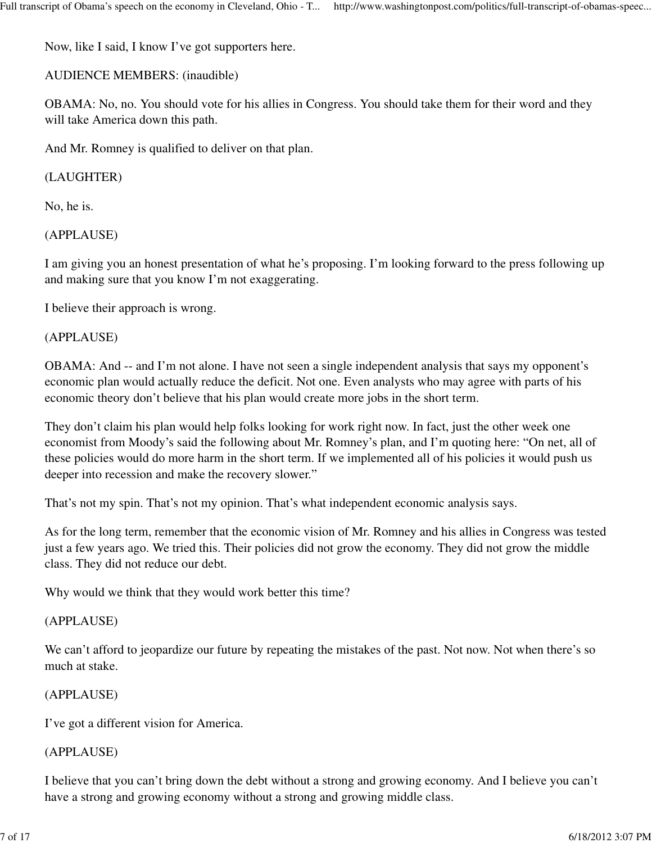Now, like I said, I know I've got supporters here.

AUDIENCE MEMBERS: (inaudible)

OBAMA: No, no. You should vote for his allies in Congress. You should take them for their word and they will take America down this path.

And Mr. Romney is qualified to deliver on that plan.

(LAUGHTER)

No, he is.

(APPLAUSE)

I am giving you an honest presentation of what he's proposing. I'm looking forward to the press following up and making sure that you know I'm not exaggerating.

I believe their approach is wrong.

(APPLAUSE)

OBAMA: And -- and I'm not alone. I have not seen a single independent analysis that says my opponent's economic plan would actually reduce the deficit. Not one. Even analysts who may agree with parts of his economic theory don't believe that his plan would create more jobs in the short term.

They don't claim his plan would help folks looking for work right now. In fact, just the other week one economist from Moody's said the following about Mr. Romney's plan, and I'm quoting here: "On net, all of these policies would do more harm in the short term. If we implemented all of his policies it would push us deeper into recession and make the recovery slower."

That's not my spin. That's not my opinion. That's what independent economic analysis says.

As for the long term, remember that the economic vision of Mr. Romney and his allies in Congress was tested just a few years ago. We tried this. Their policies did not grow the economy. They did not grow the middle class. They did not reduce our debt.

Why would we think that they would work better this time?

# (APPLAUSE)

We can't afford to jeopardize our future by repeating the mistakes of the past. Not now. Not when there's so much at stake.

# (APPLAUSE)

I've got a different vision for America.

#### (APPLAUSE)

I believe that you can't bring down the debt without a strong and growing economy. And I believe you can't have a strong and growing economy without a strong and growing middle class.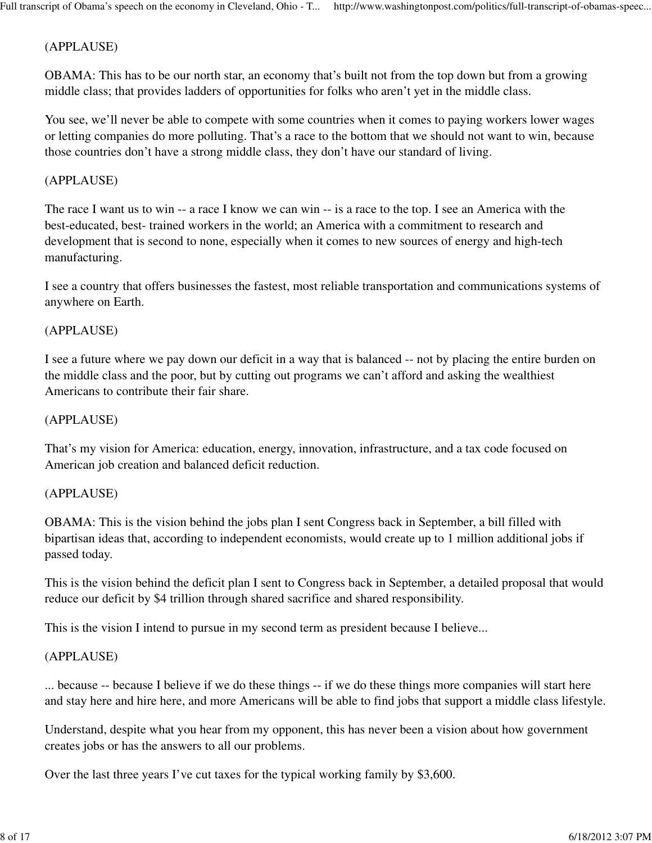# (APPLAUSE)

OBAMA: This has to be our north star, an economy that's built not from the top down but from a growing middle class; that provides ladders of opportunities for folks who aren't yet in the middle class.

You see, we'll never be able to compete with some countries when it comes to paying workers lower wages or letting companies do more polluting. That's a race to the bottom that we should not want to win, because those countries don't have a strong middle class, they don't have our standard of living.

### (APPLAUSE)

The race I want us to win -- a race I know we can win -- is a race to the top. I see an America with the best-educated, best- trained workers in the world; an America with a commitment to research and development that is second to none, especially when it comes to new sources of energy and high-tech manufacturing.

I see a country that offers businesses the fastest, most reliable transportation and communications systems of anywhere on Earth.

#### (APPLAUSE)

I see a future where we pay down our deficit in a way that is balanced -- not by placing the entire burden on the middle class and the poor, but by cutting out programs we can't afford and asking the wealthiest Americans to contribute their fair share.

#### (APPLAUSE)

That's my vision for America: education, energy, innovation, infrastructure, and a tax code focused on American job creation and balanced deficit reduction.

#### (APPLAUSE)

OBAMA: This is the vision behind the jobs plan I sent Congress back in September, a bill filled with bipartisan ideas that, according to independent economists, would create up to 1 million additional jobs if passed today.

This is the vision behind the deficit plan I sent to Congress back in September, a detailed proposal that would reduce our deficit by \$4 trillion through shared sacrifice and shared responsibility.

This is the vision I intend to pursue in my second term as president because I believe...

# (APPLAUSE)

... because -- because I believe if we do these things -- if we do these things more companies will start here and stay here and hire here, and more Americans will be able to find jobs that support a middle class lifestyle.

Understand, despite what you hear from my opponent, this has never been a vision about how government creates jobs or has the answers to all our problems.

Over the last three years I've cut taxes for the typical working family by \$3,600.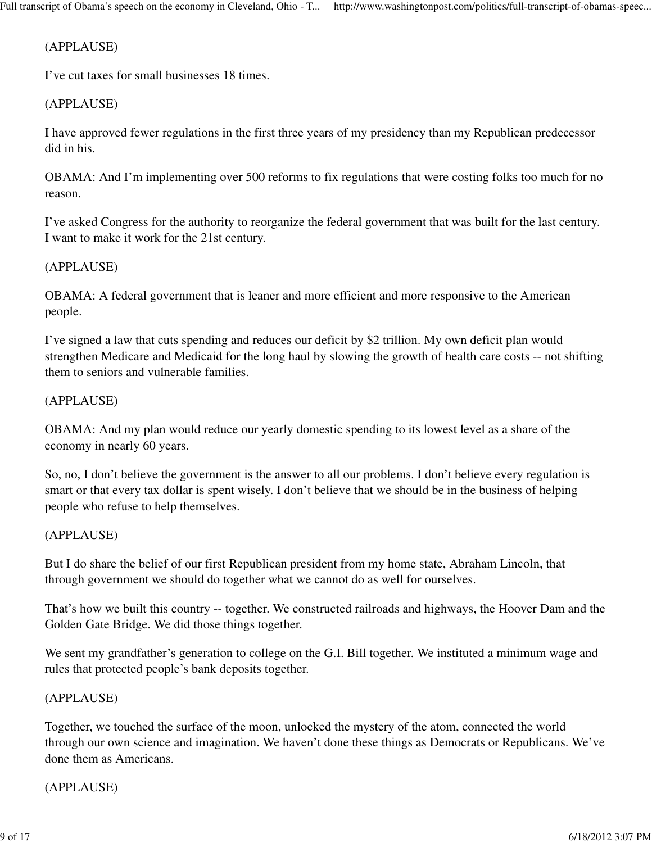### (APPLAUSE)

I've cut taxes for small businesses 18 times.

# (APPLAUSE)

I have approved fewer regulations in the first three years of my presidency than my Republican predecessor did in his.

OBAMA: And I'm implementing over 500 reforms to fix regulations that were costing folks too much for no reason.

I've asked Congress for the authority to reorganize the federal government that was built for the last century. I want to make it work for the 21st century.

# (APPLAUSE)

OBAMA: A federal government that is leaner and more efficient and more responsive to the American people.

I've signed a law that cuts spending and reduces our deficit by \$2 trillion. My own deficit plan would strengthen Medicare and Medicaid for the long haul by slowing the growth of health care costs -- not shifting them to seniors and vulnerable families.

# (APPLAUSE)

OBAMA: And my plan would reduce our yearly domestic spending to its lowest level as a share of the economy in nearly 60 years.

So, no, I don't believe the government is the answer to all our problems. I don't believe every regulation is smart or that every tax dollar is spent wisely. I don't believe that we should be in the business of helping people who refuse to help themselves.

# (APPLAUSE)

But I do share the belief of our first Republican president from my home state, Abraham Lincoln, that through government we should do together what we cannot do as well for ourselves.

That's how we built this country -- together. We constructed railroads and highways, the Hoover Dam and the Golden Gate Bridge. We did those things together.

We sent my grandfather's generation to college on the G.I. Bill together. We instituted a minimum wage and rules that protected people's bank deposits together.

# (APPLAUSE)

Together, we touched the surface of the moon, unlocked the mystery of the atom, connected the world through our own science and imagination. We haven't done these things as Democrats or Republicans. We've done them as Americans.

# (APPLAUSE)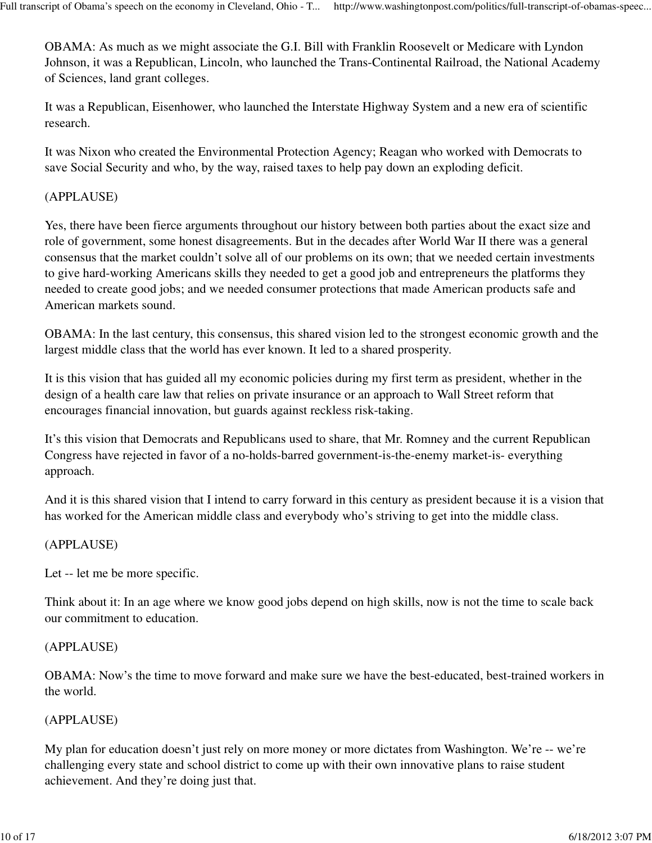OBAMA: As much as we might associate the G.I. Bill with Franklin Roosevelt or Medicare with Lyndon Johnson, it was a Republican, Lincoln, who launched the Trans-Continental Railroad, the National Academy of Sciences, land grant colleges.

It was a Republican, Eisenhower, who launched the Interstate Highway System and a new era of scientific research.

It was Nixon who created the Environmental Protection Agency; Reagan who worked with Democrats to save Social Security and who, by the way, raised taxes to help pay down an exploding deficit.

# (APPLAUSE)

Yes, there have been fierce arguments throughout our history between both parties about the exact size and role of government, some honest disagreements. But in the decades after World War II there was a general consensus that the market couldn't solve all of our problems on its own; that we needed certain investments to give hard-working Americans skills they needed to get a good job and entrepreneurs the platforms they needed to create good jobs; and we needed consumer protections that made American products safe and American markets sound.

OBAMA: In the last century, this consensus, this shared vision led to the strongest economic growth and the largest middle class that the world has ever known. It led to a shared prosperity.

It is this vision that has guided all my economic policies during my first term as president, whether in the design of a health care law that relies on private insurance or an approach to Wall Street reform that encourages financial innovation, but guards against reckless risk-taking.

It's this vision that Democrats and Republicans used to share, that Mr. Romney and the current Republican Congress have rejected in favor of a no-holds-barred government-is-the-enemy market-is- everything approach.

And it is this shared vision that I intend to carry forward in this century as president because it is a vision that has worked for the American middle class and everybody who's striving to get into the middle class.

# (APPLAUSE)

Let -- let me be more specific.

Think about it: In an age where we know good jobs depend on high skills, now is not the time to scale back our commitment to education.

# (APPLAUSE)

OBAMA: Now's the time to move forward and make sure we have the best-educated, best-trained workers in the world.

# (APPLAUSE)

My plan for education doesn't just rely on more money or more dictates from Washington. We're -- we're challenging every state and school district to come up with their own innovative plans to raise student achievement. And they're doing just that.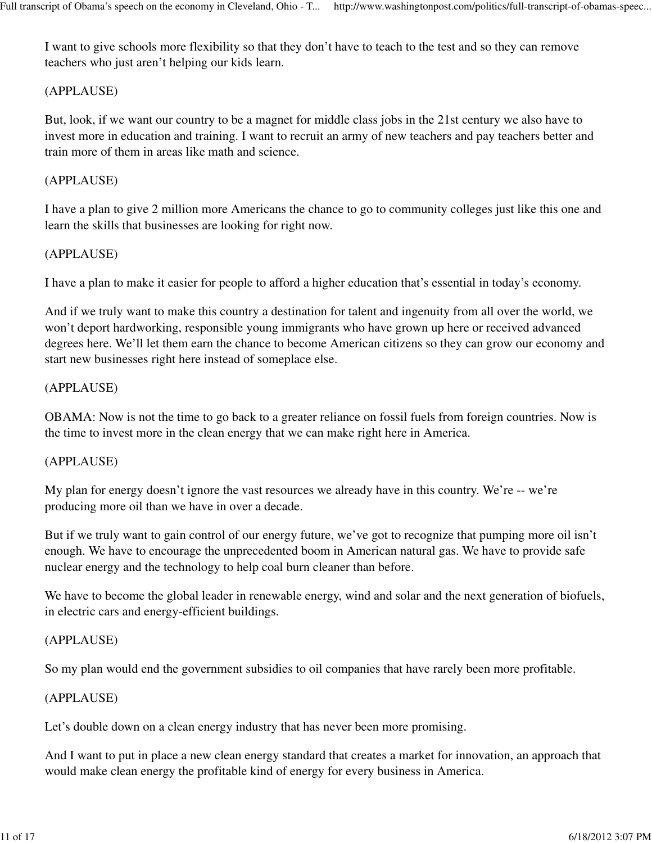I want to give schools more flexibility so that they don't have to teach to the test and so they can remove teachers who just aren't helping our kids learn.

# (APPLAUSE)

But, look, if we want our country to be a magnet for middle class jobs in the 21st century we also have to invest more in education and training. I want to recruit an army of new teachers and pay teachers better and train more of them in areas like math and science.

#### (APPLAUSE)

I have a plan to give 2 million more Americans the chance to go to community colleges just like this one and learn the skills that businesses are looking for right now.

#### (APPLAUSE)

I have a plan to make it easier for people to afford a higher education that's essential in today's economy.

And if we truly want to make this country a destination for talent and ingenuity from all over the world, we won't deport hardworking, responsible young immigrants who have grown up here or received advanced degrees here. We'll let them earn the chance to become American citizens so they can grow our economy and start new businesses right here instead of someplace else.

# (APPLAUSE)

OBAMA: Now is not the time to go back to a greater reliance on fossil fuels from foreign countries. Now is the time to invest more in the clean energy that we can make right here in America.

#### (APPLAUSE)

My plan for energy doesn't ignore the vast resources we already have in this country. We're -- we're producing more oil than we have in over a decade.

But if we truly want to gain control of our energy future, we've got to recognize that pumping more oil isn't enough. We have to encourage the unprecedented boom in American natural gas. We have to provide safe nuclear energy and the technology to help coal burn cleaner than before.

We have to become the global leader in renewable energy, wind and solar and the next generation of biofuels, in electric cars and energy-efficient buildings.

# (APPLAUSE)

So my plan would end the government subsidies to oil companies that have rarely been more profitable.

# (APPLAUSE)

Let's double down on a clean energy industry that has never been more promising.

And I want to put in place a new clean energy standard that creates a market for innovation, an approach that would make clean energy the profitable kind of energy for every business in America.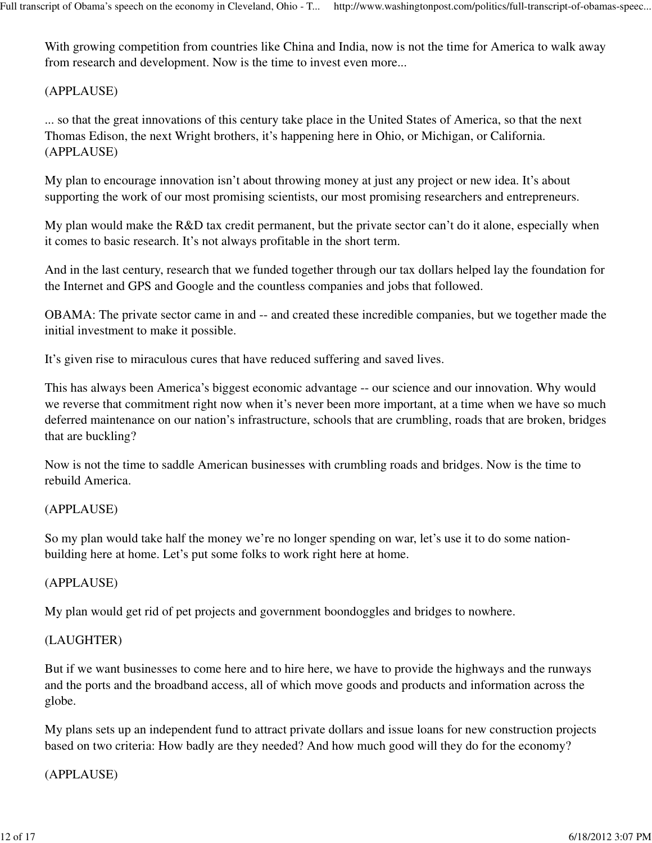With growing competition from countries like China and India, now is not the time for America to walk away from research and development. Now is the time to invest even more...

(APPLAUSE)

... so that the great innovations of this century take place in the United States of America, so that the next Thomas Edison, the next Wright brothers, it's happening here in Ohio, or Michigan, or California. (APPLAUSE)

My plan to encourage innovation isn't about throwing money at just any project or new idea. It's about supporting the work of our most promising scientists, our most promising researchers and entrepreneurs.

My plan would make the R&D tax credit permanent, but the private sector can't do it alone, especially when it comes to basic research. It's not always profitable in the short term.

And in the last century, research that we funded together through our tax dollars helped lay the foundation for the Internet and GPS and Google and the countless companies and jobs that followed.

OBAMA: The private sector came in and -- and created these incredible companies, but we together made the initial investment to make it possible.

It's given rise to miraculous cures that have reduced suffering and saved lives.

This has always been America's biggest economic advantage -- our science and our innovation. Why would we reverse that commitment right now when it's never been more important, at a time when we have so much deferred maintenance on our nation's infrastructure, schools that are crumbling, roads that are broken, bridges that are buckling?

Now is not the time to saddle American businesses with crumbling roads and bridges. Now is the time to rebuild America.

# (APPLAUSE)

So my plan would take half the money we're no longer spending on war, let's use it to do some nationbuilding here at home. Let's put some folks to work right here at home.

# (APPLAUSE)

My plan would get rid of pet projects and government boondoggles and bridges to nowhere.

#### (LAUGHTER)

But if we want businesses to come here and to hire here, we have to provide the highways and the runways and the ports and the broadband access, all of which move goods and products and information across the globe.

My plans sets up an independent fund to attract private dollars and issue loans for new construction projects based on two criteria: How badly are they needed? And how much good will they do for the economy?

#### (APPLAUSE)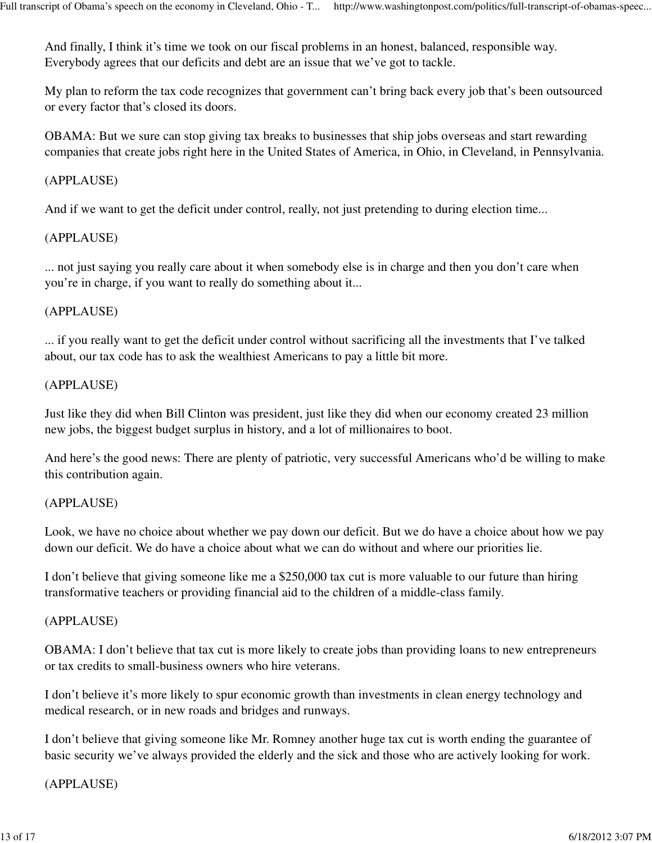And finally, I think it's time we took on our fiscal problems in an honest, balanced, responsible way. Everybody agrees that our deficits and debt are an issue that we've got to tackle.

My plan to reform the tax code recognizes that government can't bring back every job that's been outsourced or every factor that's closed its doors.

OBAMA: But we sure can stop giving tax breaks to businesses that ship jobs overseas and start rewarding companies that create jobs right here in the United States of America, in Ohio, in Cleveland, in Pennsylvania.

### (APPLAUSE)

And if we want to get the deficit under control, really, not just pretending to during election time...

# (APPLAUSE)

... not just saying you really care about it when somebody else is in charge and then you don't care when you're in charge, if you want to really do something about it...

# (APPLAUSE)

... if you really want to get the deficit under control without sacrificing all the investments that I've talked about, our tax code has to ask the wealthiest Americans to pay a little bit more.

#### (APPLAUSE)

Just like they did when Bill Clinton was president, just like they did when our economy created 23 million new jobs, the biggest budget surplus in history, and a lot of millionaires to boot.

And here's the good news: There are plenty of patriotic, very successful Americans who'd be willing to make this contribution again.

#### (APPLAUSE)

Look, we have no choice about whether we pay down our deficit. But we do have a choice about how we pay down our deficit. We do have a choice about what we can do without and where our priorities lie.

I don't believe that giving someone like me a \$250,000 tax cut is more valuable to our future than hiring transformative teachers or providing financial aid to the children of a middle-class family.

#### (APPLAUSE)

OBAMA: I don't believe that tax cut is more likely to create jobs than providing loans to new entrepreneurs or tax credits to small-business owners who hire veterans.

I don't believe it's more likely to spur economic growth than investments in clean energy technology and medical research, or in new roads and bridges and runways.

I don't believe that giving someone like Mr. Romney another huge tax cut is worth ending the guarantee of basic security we've always provided the elderly and the sick and those who are actively looking for work.

#### (APPLAUSE)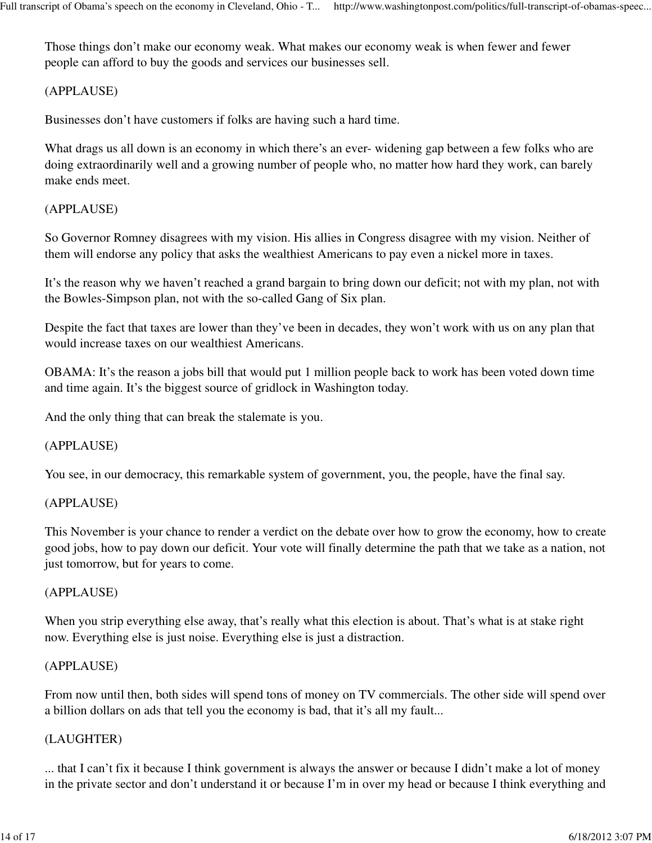Those things don't make our economy weak. What makes our economy weak is when fewer and fewer people can afford to buy the goods and services our businesses sell.

# (APPLAUSE)

Businesses don't have customers if folks are having such a hard time.

What drags us all down is an economy in which there's an ever- widening gap between a few folks who are doing extraordinarily well and a growing number of people who, no matter how hard they work, can barely make ends meet.

### (APPLAUSE)

So Governor Romney disagrees with my vision. His allies in Congress disagree with my vision. Neither of them will endorse any policy that asks the wealthiest Americans to pay even a nickel more in taxes.

It's the reason why we haven't reached a grand bargain to bring down our deficit; not with my plan, not with the Bowles-Simpson plan, not with the so-called Gang of Six plan.

Despite the fact that taxes are lower than they've been in decades, they won't work with us on any plan that would increase taxes on our wealthiest Americans.

OBAMA: It's the reason a jobs bill that would put 1 million people back to work has been voted down time and time again. It's the biggest source of gridlock in Washington today.

And the only thing that can break the stalemate is you.

#### (APPLAUSE)

You see, in our democracy, this remarkable system of government, you, the people, have the final say.

#### (APPLAUSE)

This November is your chance to render a verdict on the debate over how to grow the economy, how to create good jobs, how to pay down our deficit. Your vote will finally determine the path that we take as a nation, not just tomorrow, but for years to come.

#### (APPLAUSE)

When you strip everything else away, that's really what this election is about. That's what is at stake right now. Everything else is just noise. Everything else is just a distraction.

#### (APPLAUSE)

From now until then, both sides will spend tons of money on TV commercials. The other side will spend over a billion dollars on ads that tell you the economy is bad, that it's all my fault...

#### (LAUGHTER)

... that I can't fix it because I think government is always the answer or because I didn't make a lot of money in the private sector and don't understand it or because I'm in over my head or because I think everything and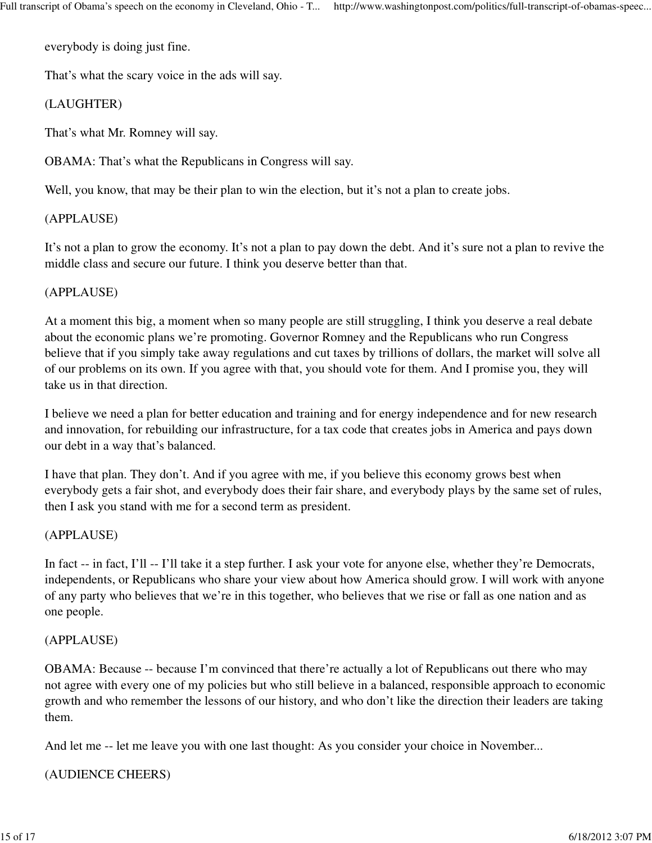everybody is doing just fine.

That's what the scary voice in the ads will say.

#### (LAUGHTER)

That's what Mr. Romney will say.

OBAMA: That's what the Republicans in Congress will say.

Well, you know, that may be their plan to win the election, but it's not a plan to create jobs.

#### (APPLAUSE)

It's not a plan to grow the economy. It's not a plan to pay down the debt. And it's sure not a plan to revive the middle class and secure our future. I think you deserve better than that.

#### (APPLAUSE)

At a moment this big, a moment when so many people are still struggling, I think you deserve a real debate about the economic plans we're promoting. Governor Romney and the Republicans who run Congress believe that if you simply take away regulations and cut taxes by trillions of dollars, the market will solve all of our problems on its own. If you agree with that, you should vote for them. And I promise you, they will take us in that direction.

I believe we need a plan for better education and training and for energy independence and for new research and innovation, for rebuilding our infrastructure, for a tax code that creates jobs in America and pays down our debt in a way that's balanced.

I have that plan. They don't. And if you agree with me, if you believe this economy grows best when everybody gets a fair shot, and everybody does their fair share, and everybody plays by the same set of rules, then I ask you stand with me for a second term as president.

#### (APPLAUSE)

In fact -- in fact, I'll -- I'll take it a step further. I ask your vote for anyone else, whether they're Democrats, independents, or Republicans who share your view about how America should grow. I will work with anyone of any party who believes that we're in this together, who believes that we rise or fall as one nation and as one people.

#### (APPLAUSE)

OBAMA: Because -- because I'm convinced that there're actually a lot of Republicans out there who may not agree with every one of my policies but who still believe in a balanced, responsible approach to economic growth and who remember the lessons of our history, and who don't like the direction their leaders are taking them.

And let me -- let me leave you with one last thought: As you consider your choice in November...

#### (AUDIENCE CHEERS)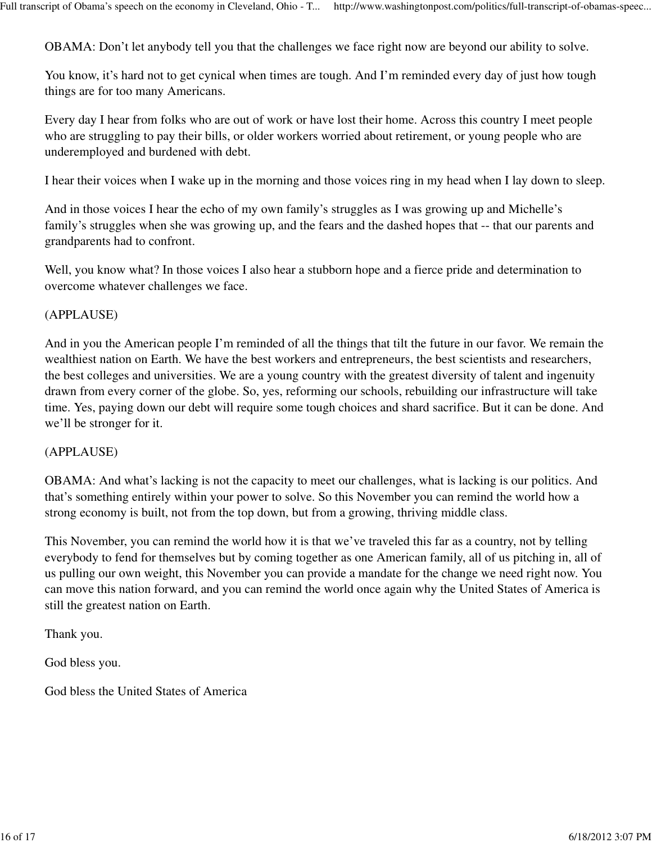OBAMA: Don't let anybody tell you that the challenges we face right now are beyond our ability to solve.

You know, it's hard not to get cynical when times are tough. And I'm reminded every day of just how tough things are for too many Americans.

Every day I hear from folks who are out of work or have lost their home. Across this country I meet people who are struggling to pay their bills, or older workers worried about retirement, or young people who are underemployed and burdened with debt.

I hear their voices when I wake up in the morning and those voices ring in my head when I lay down to sleep.

And in those voices I hear the echo of my own family's struggles as I was growing up and Michelle's family's struggles when she was growing up, and the fears and the dashed hopes that -- that our parents and grandparents had to confront.

Well, you know what? In those voices I also hear a stubborn hope and a fierce pride and determination to overcome whatever challenges we face.

#### (APPLAUSE)

And in you the American people I'm reminded of all the things that tilt the future in our favor. We remain the wealthiest nation on Earth. We have the best workers and entrepreneurs, the best scientists and researchers, the best colleges and universities. We are a young country with the greatest diversity of talent and ingenuity drawn from every corner of the globe. So, yes, reforming our schools, rebuilding our infrastructure will take time. Yes, paying down our debt will require some tough choices and shard sacrifice. But it can be done. And we'll be stronger for it.

#### (APPLAUSE)

OBAMA: And what's lacking is not the capacity to meet our challenges, what is lacking is our politics. And that's something entirely within your power to solve. So this November you can remind the world how a strong economy is built, not from the top down, but from a growing, thriving middle class.

This November, you can remind the world how it is that we've traveled this far as a country, not by telling everybody to fend for themselves but by coming together as one American family, all of us pitching in, all of us pulling our own weight, this November you can provide a mandate for the change we need right now. You can move this nation forward, and you can remind the world once again why the United States of America is still the greatest nation on Earth.

Thank you.

God bless you.

God bless the United States of America